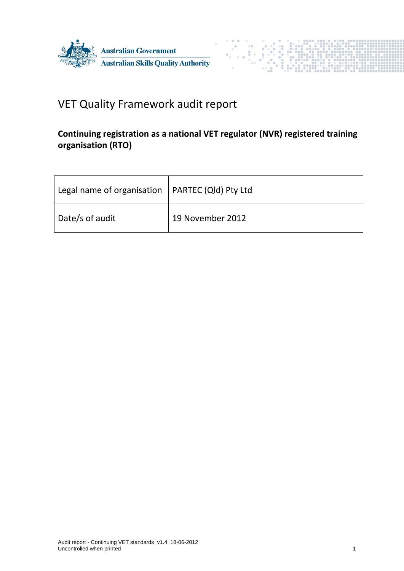



# VET Quality Framework audit report

# **Continuing registration as a national VET regulator (NVR) registered training organisation (RTO)**

| Legal name of organisation   PARTEC (Qld) Pty Ltd |                  |
|---------------------------------------------------|------------------|
| Date/s of audit                                   | 19 November 2012 |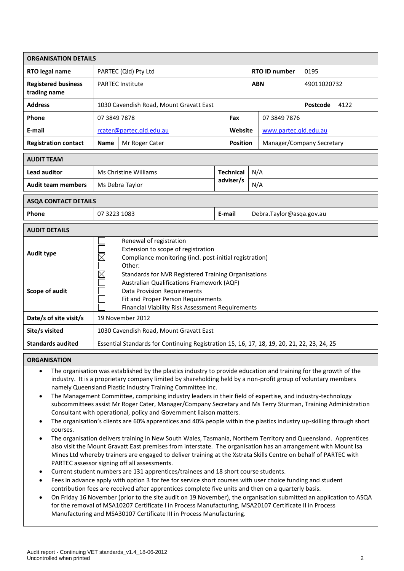| <b>ORGANISATION DETAILS</b>                |                                                                                                                                                                                                                                                        |                          |  |                               |                          |                       |                           |  |  |  |
|--------------------------------------------|--------------------------------------------------------------------------------------------------------------------------------------------------------------------------------------------------------------------------------------------------------|--------------------------|--|-------------------------------|--------------------------|-----------------------|---------------------------|--|--|--|
| RTO legal name                             | PARTEC (Qld) Pty Ltd                                                                                                                                                                                                                                   |                          |  | <b>RTO ID number</b>          |                          | 0195                  |                           |  |  |  |
| <b>Registered business</b><br>trading name | <b>PARTEC Institute</b>                                                                                                                                                                                                                                |                          |  | <b>ABN</b>                    |                          | 49011020732           |                           |  |  |  |
| <b>Address</b>                             | 1030 Cavendish Road, Mount Gravatt East                                                                                                                                                                                                                |                          |  |                               | Postcode                 | 4122                  |                           |  |  |  |
| Phone                                      | 07 3849 7878                                                                                                                                                                                                                                           |                          |  | Fax                           |                          | 07 3849 7876          |                           |  |  |  |
| E-mail                                     |                                                                                                                                                                                                                                                        | rcater@partec.gld.edu.au |  | Website                       |                          | www.partec.gld.edu.au |                           |  |  |  |
| <b>Registration contact</b>                | <b>Name</b>                                                                                                                                                                                                                                            | Mr Roger Cater           |  | <b>Position</b>               |                          |                       | Manager/Company Secretary |  |  |  |
| <b>AUDIT TEAM</b>                          |                                                                                                                                                                                                                                                        |                          |  |                               |                          |                       |                           |  |  |  |
| <b>Lead auditor</b>                        |                                                                                                                                                                                                                                                        | Ms Christine Williams    |  | <b>Technical</b><br>adviser/s |                          | N/A                   |                           |  |  |  |
| <b>Audit team members</b>                  |                                                                                                                                                                                                                                                        | Ms Debra Taylor          |  |                               |                          | N/A                   |                           |  |  |  |
| <b>ASQA CONTACT DETAILS</b>                |                                                                                                                                                                                                                                                        |                          |  |                               |                          |                       |                           |  |  |  |
| <b>Phone</b>                               | 07 3223 1083<br>E-mail                                                                                                                                                                                                                                 |                          |  |                               | Debra.Taylor@asqa.gov.au |                       |                           |  |  |  |
| <b>AUDIT DETAILS</b>                       |                                                                                                                                                                                                                                                        |                          |  |                               |                          |                       |                           |  |  |  |
| <b>Audit type</b>                          | Renewal of registration<br>Extension to scope of registration<br>$\times$<br>Compliance monitoring (incl. post-initial registration)<br>Other:                                                                                                         |                          |  |                               |                          |                       |                           |  |  |  |
| <b>Scope of audit</b>                      | $\boxtimes$<br>Standards for NVR Registered Training Organisations<br><b>Australian Qualifications Framework (AQF)</b><br><b>Data Provision Requirements</b><br>Fit and Proper Person Requirements<br>Financial Viability Risk Assessment Requirements |                          |  |                               |                          |                       |                           |  |  |  |
| Date/s of site visit/s                     | 19 November 2012                                                                                                                                                                                                                                       |                          |  |                               |                          |                       |                           |  |  |  |
| Site/s visited                             | 1030 Cavendish Road, Mount Gravatt East                                                                                                                                                                                                                |                          |  |                               |                          |                       |                           |  |  |  |
| <b>Standards audited</b>                   | Essential Standards for Continuing Registration 15, 16, 17, 18, 19, 20, 21, 22, 23, 24, 25                                                                                                                                                             |                          |  |                               |                          |                       |                           |  |  |  |

# **ORGANISATION**

- The organisation was established by the plastics industry to provide education and training for the growth of the industry. It is a proprietary company limited by shareholding held by a non-profit group of voluntary members namely Queensland Plastic Industry Training Committee Inc.
- The Management Committee, comprising industry leaders in their field of expertise, and industry-technology subcommittees assist Mr Roger Cater, Manager/Company Secretary and Ms Terry Sturman, Training Administration Consultant with operational, policy and Government liaison matters.
- The organisation's clients are 60% apprentices and 40% people within the plastics industry up-skilling through short courses.
- The organisation delivers training in New South Wales, Tasmania, Northern Territory and Queensland. Apprentices also visit the Mount Gravatt East premises from interstate. The organisation has an arrangement with Mount Isa Mines Ltd whereby trainers are engaged to deliver training at the Xstrata Skills Centre on behalf of PARTEC with PARTEC assessor signing off all assessments.
- Current student numbers are 131 apprentices/trainees and 18 short course students.
- Fees in advance apply with option 3 for fee for service short courses with user choice funding and student contribution fees are received after apprentices complete five units and then on a quarterly basis.
- On Friday 16 November (prior to the site audit on 19 November), the organisation submitted an application to ASQA for the removal of MSA10207 Certificate I in Process Manufacturing, MSA20107 Certificate II in Process Manufacturing and MSA30107 Certificate III in Process Manufacturing.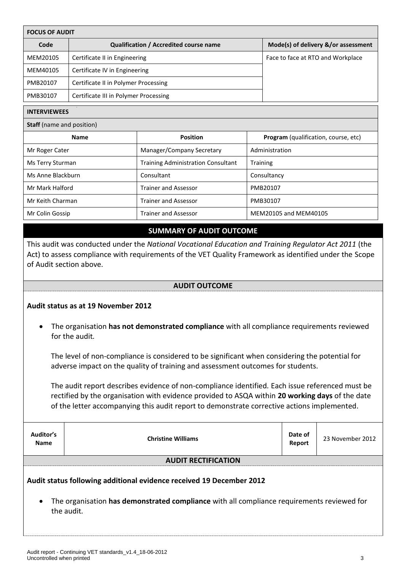| <b>FOCUS OF AUDIT</b>                                                                                                                                                                                                                      |                                        |                                           |                                     |                                      |  |
|--------------------------------------------------------------------------------------------------------------------------------------------------------------------------------------------------------------------------------------------|----------------------------------------|-------------------------------------------|-------------------------------------|--------------------------------------|--|
| Code                                                                                                                                                                                                                                       | Qualification / Accredited course name |                                           | Mode(s) of delivery &/or assessment |                                      |  |
| MEM20105                                                                                                                                                                                                                                   | Certificate II in Engineering          |                                           |                                     | Face to face at RTO and Workplace    |  |
| MEM40105                                                                                                                                                                                                                                   | Certificate IV in Engineering          |                                           |                                     |                                      |  |
| PMB20107                                                                                                                                                                                                                                   | Certificate II in Polymer Processing   |                                           |                                     |                                      |  |
| PMB30107                                                                                                                                                                                                                                   | Certificate III in Polymer Processing  |                                           |                                     |                                      |  |
| <b>INTERVIEWEES</b>                                                                                                                                                                                                                        |                                        |                                           |                                     |                                      |  |
| <b>Staff</b> (name and position)                                                                                                                                                                                                           |                                        |                                           |                                     |                                      |  |
|                                                                                                                                                                                                                                            | <b>Name</b>                            | <b>Position</b>                           |                                     | Program (qualification, course, etc) |  |
| Mr Roger Cater                                                                                                                                                                                                                             |                                        | Manager/Company Secretary                 |                                     | Administration                       |  |
| Ms Terry Sturman                                                                                                                                                                                                                           |                                        | <b>Training Administration Consultant</b> | Training                            |                                      |  |
| Ms Anne Blackburn                                                                                                                                                                                                                          |                                        | Consultant                                |                                     | Consultancy                          |  |
| Mr Mark Halford                                                                                                                                                                                                                            |                                        | <b>Trainer and Assessor</b>               |                                     | PMB20107                             |  |
| Mr Keith Charman                                                                                                                                                                                                                           |                                        | <b>Trainer and Assessor</b>               |                                     | PMB30107                             |  |
| Mr Colin Gossip                                                                                                                                                                                                                            |                                        | <b>Trainer and Assessor</b>               |                                     | MEM20105 and MEM40105                |  |
|                                                                                                                                                                                                                                            |                                        | <b>SUMMARY OF AUDIT OUTCOME</b>           |                                     |                                      |  |
| This audit was conducted under the National Vocational Education and Training Regulator Act 2011 (the<br>Act) to assess compliance with requirements of the VET Quality Framework as identified under the Scope<br>of Audit section above. |                                        |                                           |                                     |                                      |  |
| <b>AUDIT OUTCOME</b>                                                                                                                                                                                                                       |                                        |                                           |                                     |                                      |  |
| Audit status as at 19 November 2012                                                                                                                                                                                                        |                                        |                                           |                                     |                                      |  |
| The organisation has not demonstrated compliance with all compliance requirements reviewed<br>for the audit.                                                                                                                               |                                        |                                           |                                     |                                      |  |

The level of non-compliance is considered to be significant when considering the potential for adverse impact on the quality of training and assessment outcomes for students.

The audit report describes evidence of non-compliance identified*.* Each issue referenced must be rectified by the organisation with evidence provided to ASQA within **20 working days** of the date of the letter accompanying this audit report to demonstrate corrective actions implemented.

| Auditor's<br><b>Name</b>                                                                                                                                                                      | <b>Christine Williams</b>  | Date of<br>Report | 23 November 2012 |  |  |  |
|-----------------------------------------------------------------------------------------------------------------------------------------------------------------------------------------------|----------------------------|-------------------|------------------|--|--|--|
|                                                                                                                                                                                               | <b>AUDIT RECTIFICATION</b> |                   |                  |  |  |  |
| Audit status following additional evidence received 19 December 2012<br>The organisation has demonstrated compliance with all compliance requirements reviewed for<br>$\bullet$<br>the audit. |                            |                   |                  |  |  |  |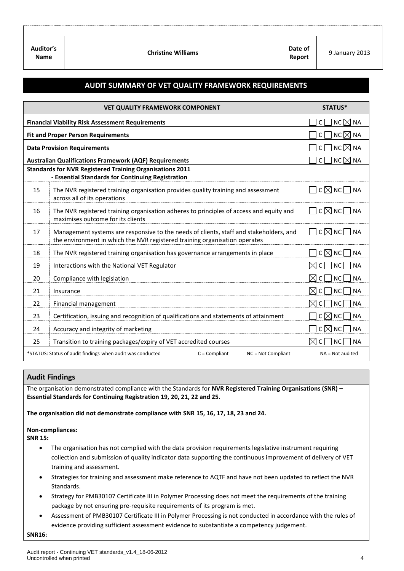| Auditor's<br><b>Name</b> | <b>Christine Williams</b> | Date of<br>Report | 9 January 2013 |
|--------------------------|---------------------------|-------------------|----------------|

# **AUDIT SUMMARY OF VET QUALITY FRAMEWORK REQUIREMENTS**

|                                                         | <b>VET QUALITY FRAMEWORK COMPONENT</b>                                                                                                                               | STATUS*                                                   |
|---------------------------------------------------------|----------------------------------------------------------------------------------------------------------------------------------------------------------------------|-----------------------------------------------------------|
| <b>Financial Viability Risk Assessment Requirements</b> |                                                                                                                                                                      | NC $\boxtimes$ NA<br>C                                    |
| <b>Fit and Proper Person Requirements</b>               |                                                                                                                                                                      | NC $\not\boxtimes$ NA<br>C                                |
| <b>Data Provision Requirements</b>                      |                                                                                                                                                                      | NC $\boxtimes$ NA<br>C                                    |
|                                                         | <b>Australian Qualifications Framework (AQF) Requirements</b>                                                                                                        | NC $\boxtimes$ NA<br>$\mathsf{C}$                         |
|                                                         | <b>Standards for NVR Registered Training Organisations 2011</b>                                                                                                      |                                                           |
|                                                         | - Essential Standards for Continuing Registration                                                                                                                    |                                                           |
| 15                                                      | The NVR registered training organisation provides quality training and assessment<br>across all of its operations                                                    | $C \boxtimes NC \square$ NA                               |
| 16                                                      | The NVR registered training organisation adheres to principles of access and equity and<br>maximises outcome for its clients                                         | $C \boxtimes NC \longrightarrow N$                        |
| 17                                                      | Management systems are responsive to the needs of clients, staff and stakeholders, and<br>the environment in which the NVR registered training organisation operates | ̄ С ⊠ NC ┌ NA                                             |
| 18                                                      | The NVR registered training organisation has governance arrangements in place                                                                                        | $C \boxtimes NC$<br><b>NA</b>                             |
| 19                                                      | Interactions with the National VET Regulator                                                                                                                         | $\boxtimes$ C $\Box$<br><b>NC</b><br><b>NA</b>            |
| 20                                                      | Compliance with legislation                                                                                                                                          | $\boxtimes$ C $\Box$ 1<br><b>NC</b><br><b>NA</b>          |
| 21                                                      | Insurance                                                                                                                                                            | $\bowtie$ c l<br>$\overline{\phantom{a}}$ NC<br><b>NA</b> |
| 22                                                      | Financial management                                                                                                                                                 | $\boxtimes$ c l<br><b>NC</b><br><b>NA</b>                 |
| 23                                                      | Certification, issuing and recognition of qualifications and statements of attainment                                                                                | $C \boxtimes NC$<br><b>NA</b>                             |
| 24                                                      | Accuracy and integrity of marketing                                                                                                                                  | $\Box$ C $\boxtimes$ NC<br>NA                             |
| 25                                                      | Transition to training packages/expiry of VET accredited courses                                                                                                     | NC<br>$\boxtimes$<br><b>NA</b><br>$\mathsf{C}$            |
|                                                         | *STATUS: Status of audit findings when audit was conducted<br>$C = Compliant$<br>NC = Not Compliant                                                                  | $NA = Not$ audited                                        |

# **Audit Findings**

The organisation demonstrated compliance with the Standards for **NVR Registered Training Organisations (SNR) – Essential Standards for Continuing Registration 19, 20, 21, 22 and 25.**

**The organisation did not demonstrate compliance with SNR 15, 16, 17, 18, 23 and 24.**

#### **Non-compliances:**

**SNR 15:**

- The organisation has not complied with the data provision requirements legislative instrument requiring collection and submission of quality indicator data supporting the continuous improvement of delivery of VET training and assessment.
- Strategies for training and assessment make reference to AQTF and have not been updated to reflect the NVR Standards.
- Strategy for PMB30107 Certificate III in Polymer Processing does not meet the requirements of the training package by not ensuring pre-requisite requirements of its program is met.
- Assessment of PMB30107 Certificate III in Polymer Processing is not conducted in accordance with the rules of evidence providing sufficient assessment evidence to substantiate a competency judgement.

**SNR16:**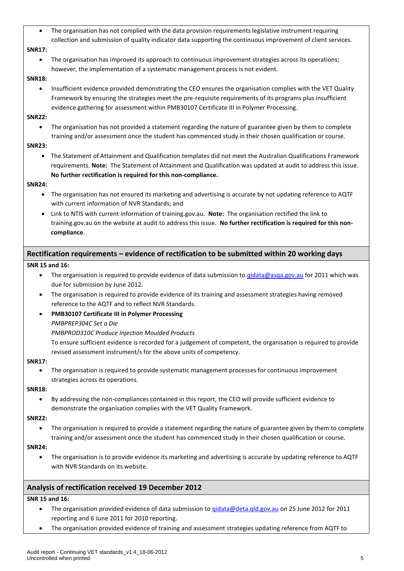The organisation has not complied with the data provision requirements legislative instrument requiring collection and submission of quality indicator data supporting the continuous improvement of client services.

# **SNR17:**

 The organisation has improved its approach to continuous improvement strategies across its operations; however, the implementation of a systematic management process is not evident.

#### **SNR18:**

 Insufficient evidence provided demonstrating the CEO ensures the organisation complies with the VET Quality Framework by ensuring the strategies meet the pre-requisite requirements of its programs plus insufficient evidence gathering for assessment within PMB30107 Certificate III in Polymer Processing.

## **SNR22:**

 The organisation has not provided a statement regarding the nature of guarantee given by them to complete training and/or assessment once the student has commenced study in their chosen qualification or course.

# **SNR23:**

 The Statement of Attainment and Qualification templates did not meet the Australian Qualifications Framework requirements. **Note:** The Statement of Attainment and Qualification was updated at audit to address this issue. **No further rectification is required for this non-compliance.**

## **SNR24:**

- The organisation has not ensured its marketing and advertising is accurate by not updating reference to AQTF with current information of NVR Standards; and
- Link to NTIS with current information of training.gov.au. **Note:** The organisation rectified the link to training.gov.au on the website at audit to address this issue. **No further rectification is required for this noncompliance**.

# **Rectification requirements – evidence of rectification to be submitted within 20 working days**

# **SNR 15 and 16:**

- The organisation is required to provide evidence of data submission to [qidata@asqa.gov.au](mailto:qidata@asqa.gov.au) for 2011 which was due for submission by June 2012.
- The organisation is required to provide evidence of its training and assessment strategies having removed reference to the AQTF and to reflect NVR Standards.
- **PMB30107 Certificate III in Polymer Processing**

# *PMBPREP304C Set a Die*

*PMBPROD310C Produce Injection Moulded Products*

To ensure sufficient evidence is recorded for a judgement of competent, the organisation is required to provide revised assessment instrument/s for the above units of competency.

#### **SNR17:**

 The organisation is required to provide systematic management processes for continuous improvement strategies across its operations.

#### **SNR18:**

 By addressing the non-compliances contained in this report, the CEO will provide sufficient evidence to demonstrate the organisation complies with the VET Quality Framework.

# **SNR22:**

 The organisation is required to provide a statement regarding the nature of guarantee given by them to complete training and/or assessment once the student has commenced study in their chosen qualification or course.

# **SNR24:**

 The organisation is to provide evidence its marketing and advertising is accurate by updating reference to AQTF with NVR Standards on its website.

# **Analysis of rectification received 19 December 2012**

# **SNR 15 and 16:**

- The organisation provided evidence of data submission to gidata@deta.qld.gov.au on 25 June 2012 for 2011 reporting and 6 June 2011 for 2010 reporting.
- The organisation provided evidence of training and assessment strategies updating reference from AQTF to